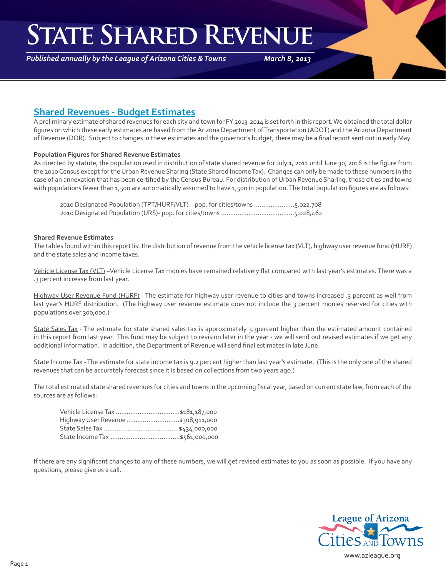### **State Shared Revenue**

*Published annually by the League of Arizona Cities & Towns*

*March 8, 2013*

### **Shared Revenues - Budget Estimates**

A preliminary estimate of shared revenues for each city and town for FY 2013-2014 is set forth in this report. We obtained the total dollar figures on which these early estimates are based from the Arizona Department of Transportation (ADOT) and the Arizona Department of Revenue (DOR). Subject to changes in these estimates and the governor's budget, there may be a final report sent out in early May.

#### **Population Figures for Shared Revenue Estimates**

As directed by statute, the population used in distribution of state shared revenue for July 1, 2011 until June 30, 2016 is the figure from the 2010 Census except for the Urban Revenue Sharing (State Shared Income Tax). Changes can only be made to these numbers in the case of an annexation that has been certified by the Census Bureau. For distribution of Urban Revenue Sharing, those cities and towns with populations fewer than 1,500 are automatically assumed to have 1,500 in population. The total population figures are as follows:

 2010 Designated Population (TPT/HURF/VLT) – pop. for cities/towns ......................5,022,708 2010 Designated Population (URS)- pop. for cities/towns ........................................5,028,462

#### **Shared Revenue Estimates**

The tables found within this report list the distribution of revenue from the vehicle license tax (VLT), highway user revenue fund (HURF) and the state sales and income taxes.

Vehicle License Tax (VLT) -Vehicle License Tax monies have remained relatively flat compared with last year's estimates. There was a .3 percent increase from last year.

Highway User Revenue Fund (HURF) - The estimate for highway user revenue to cities and towns increased .3 percent as well from last year's HURF distribution. (The highway user revenue estimate does not include the 3 percent monies reserved for cities with populations over 300,000.)

State Sales Tax - The estimate for state shared sales tax is approximately 3.3percent higher than the estimated amount contained in this report from last year. This fund may be subject to revision later in the year - we will send out revised estimates if we get any additional information. In addition, the Department of Revenue will send final estimates in late June.

State Income Tax - The estimate for state income tax is 9.2 percent higher than last year's estimate. (This is the only one of the shared revenues that can be accurately forecast since it is based on collections from two years ago.)

The total estimated state shared revenues for cities and towns in the upcoming fiscal year, based on current state law, from each of the sources are as follows:

| Highway User Revenue  \$308,911,000 |
|-------------------------------------|
|                                     |
|                                     |

If there are any significant changes to any of these numbers, we will get revised estimates to you as soon as possible. If you have any questions, please give us a call.

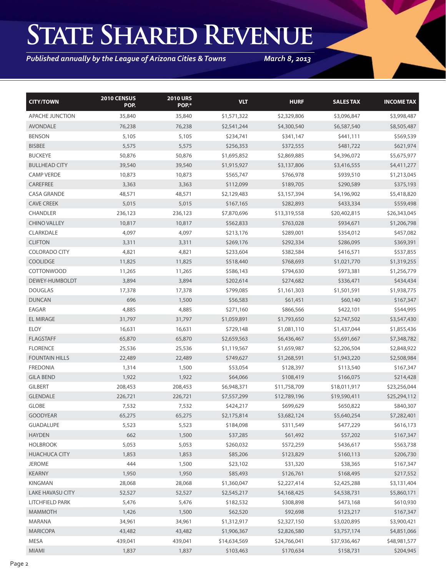## **State Shared Revenue**

*Published annually by the League of Arizona Cities & Towns*

*March 8, 2013*

| <b>CITY/TOWN</b>      | 2010 CENSUS<br>POP. | <b>2010 URS</b><br>POP.* | <b>VLT</b>   | <b>HURF</b>  | <b>SALES TAX</b> | <b>INCOME TAX</b> |
|-----------------------|---------------------|--------------------------|--------------|--------------|------------------|-------------------|
| APACHE JUNCTION       | 35,840              | 35,840                   | \$1,571,322  | \$2,329,806  | \$3,096,847      | \$3,998,487       |
| <b>AVONDALE</b>       | 76,238              | 76,238                   | \$2,541,244  | \$4,300,540  | \$6,587,540      | \$8,505,487       |
| <b>BENSON</b>         | 5,105               | 5,105                    | \$234,741    | \$341,147    | \$441,111        | \$569,539         |
| <b>BISBEE</b>         | 5,575               | 5,575                    | \$256,353    | \$372,555    | \$481,722        | \$621,974         |
| <b>BUCKEYE</b>        | 50,876              | 50,876                   | \$1,695,852  | \$2,869,885  | \$4,396,072      | \$5,675,977       |
| <b>BULLHEAD CITY</b>  | 39,540              | 39,540                   | \$1,915,927  | \$3,137,806  | \$3,416,555      | \$4,411,277       |
| <b>CAMP VERDE</b>     | 10,873              | 10,873                   | \$565,747    | \$766,978    | \$939,510        | \$1,213,045       |
| CAREFREE              | 3,363               | 3,363                    | \$112,099    | \$189,705    | \$290,589        | \$375,193         |
| <b>CASA GRANDE</b>    | 48,571              | 48,571                   | \$2,129,483  | \$3,157,394  | \$4,196,902      | \$5,418,820       |
| <b>CAVE CREEK</b>     | 5,015               | 5,015                    | \$167,165    | \$282,893    | \$433,334        | \$559,498         |
| <b>CHANDLER</b>       | 236,123             | 236,123                  | \$7,870,696  | \$13,319,558 | \$20,402,815     | \$26,343,045      |
| <b>CHINO VALLEY</b>   | 10,817              | 10,817                   | \$562,833    | \$763,028    | \$934,671        | \$1,206,798       |
| CLARKDALE             | 4,097               | 4,097                    | \$213,176    | \$289,001    | \$354,012        | \$457,082         |
| <b>CLIFTON</b>        | 3,311               | 3,311                    | \$269,176    | \$292,334    | \$286,095        | \$369,391         |
| <b>COLORADO CITY</b>  | 4,821               | 4,821                    | \$233,604    | \$382,584    | \$416,571        | \$537,855         |
| <b>COOLIDGE</b>       | 11,825              | 11,825                   | \$518,440    | \$768,693    | \$1,021,770      | \$1,319,255       |
| <b>COTTONWOOD</b>     | 11,265              | 11,265                   | \$586,143    | \$794,630    | \$973,381        | \$1,256,779       |
| DEWEY-HUMBOLDT        | 3,894               | 3,894                    | \$202,614    | \$274,682    | \$336,471        | \$434,434         |
| <b>DOUGLAS</b>        | 17,378              | 17,378                   | \$799,085    | \$1,161,303  | \$1,501,591      | \$1,938,775       |
| <b>DUNCAN</b>         | 696                 | 1,500                    | \$56,583     | \$61,451     | \$60,140         | \$167,347         |
| EAGAR                 | 4,885               | 4,885                    | \$271,160    | \$866,566    | \$422,101        | \$544,995         |
| <b>EL MIRAGE</b>      | 31,797              | 31,797                   | \$1,059,891  | \$1,793,650  | \$2,747,502      | \$3,547,430       |
| <b>ELOY</b>           | 16,631              | 16,631                   | \$729,148    | \$1,081,110  | \$1,437,044      | \$1,855,436       |
| <b>FLAGSTAFF</b>      | 65,870              | 65,870                   | \$2,659,563  | \$6,436,467  | \$5,691,667      | \$7,348,782       |
| <b>FLORENCE</b>       | 25,536              | 25,536                   | \$1,119,567  | \$1,659,987  | \$2,206,504      | \$2,848,922       |
| <b>FOUNTAIN HILLS</b> | 22,489              | 22,489                   | \$749,627    | \$1,268,591  | \$1,943,220      | \$2,508,984       |
| <b>FREDONIA</b>       | 1,314               | 1,500                    | \$53,054     | \$128,397    | \$113,540        | \$167,347         |
| <b>GILA BEND</b>      | 1,922               | 1,922                    | \$64,066     | \$108,419    | \$166,075        | \$214,428         |
| <b>GILBERT</b>        | 208,453             | 208,453                  | \$6,948,371  | \$11,758,709 | \$18,011,917     | \$23,256,044      |
| <b>GLENDALE</b>       | 226,721             | 226,721                  | \$7,557,299  | \$12,789,196 | \$19,590,411     | \$25,294,112      |
| <b>GLOBE</b>          | 7,532               | 7,532                    | \$424,217    | \$699,629    | \$650,822        | \$840,307         |
| <b>GOODYEAR</b>       | 65,275              | 65,275                   | \$2,175,814  | \$3,682,124  | \$5,640,254      | \$7,282,401       |
| <b>GUADALUPE</b>      | 5,523               | 5,523                    | \$184,098    | \$311,549    | \$477,229        | \$616,173         |
| <b>HAYDEN</b>         | 662                 | 1,500                    | \$37,285     | \$61,492     | \$57,202         | \$167,347         |
| <b>HOLBROOK</b>       | 5,053               | 5,053                    | \$260,032    | \$572,259    | \$436,617        | \$563,738         |
| <b>HUACHUCA CITY</b>  | 1,853               | 1,853                    | \$85,206     | \$123,829    | \$160,113        | \$206,730         |
| <b>JEROME</b>         | 444                 | 1,500                    | \$23,102     | \$31,320     | \$38,365         | \$167,347         |
| <b>KEARNY</b>         | 1,950               | 1,950                    | \$85,493     | \$126,761    | \$168,495        | \$217,552         |
| KINGMAN               | 28,068              | 28,068                   | \$1,360,047  | \$2,227,414  | \$2,425,288      | \$3,131,404       |
| LAKE HAVASU CITY      | 52,527              | 52,527                   | \$2,545,217  | \$4,168,425  | \$4,538,731      | \$5,860,171       |
| LITCHFIELD PARK       | 5,476               | 5,476                    | \$182,532    | \$308,898    | \$473,168        | \$610,930         |
| <b>MAMMOTH</b>        | 1,426               | 1,500                    | \$62,520     | \$92,698     | \$123,217        | \$167,347         |
| MARANA                | 34,961              | 34,961                   | \$1,312,917  | \$2,327,150  | \$3,020,895      | \$3,900,421       |
| <b>MARICOPA</b>       | 43,482              | 43,482                   | \$1,906,367  | \$2,826,580  | \$3,757,174      | \$4,851,066       |
| MESA                  | 439,041             | 439,041                  | \$14,634,569 | \$24,766,041 | \$37,936,467     | \$48,981,577      |
| MIAMI                 | 1,837               | 1,837                    | \$103,463    | \$170,634    | \$158,731        | \$204,945         |